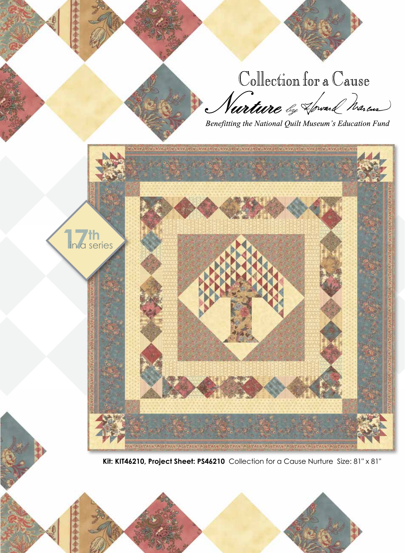Collection for a Cause<br>*Nurture by Hovail Maren*<br>Benefitting the National Quilt Museum's Education Fund



**Kit: KIT46210, Project Sheet: PS46210** Collection for a Cause Nurture Size: 81" x 81"

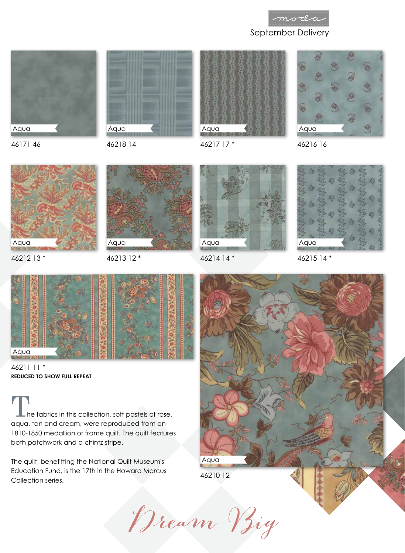







46217 17 \*



46216 16





46212 13 \*



46213 12 \*

46218 14



46214 14 \*



46215 14 \*



46211 11 \* **REDUCED TO SHOW FULL REPEAT**

 $\blacksquare$  he fabrics in this collection, soft pastels of rose, aqua, tan and cream, were reproduced from an 1810-1850 medallion or frame quilt. The quilt features both patchwork and a chintz stripe.

The quilt, benefitting the National Quilt Museum's Education Fund, is the 17th in the Howard Marcus Collection series.



Dream Big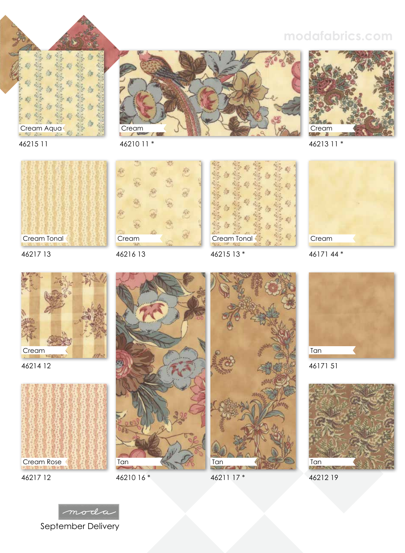

## **modafabrics.com**



46215 11



46217 13



46214 12



46217 12



刨

46216 13



46215 13 \*



46213 11 \*



46171 44 \*



46210 16 \*

46211 17 \*



46171 51



46212 19